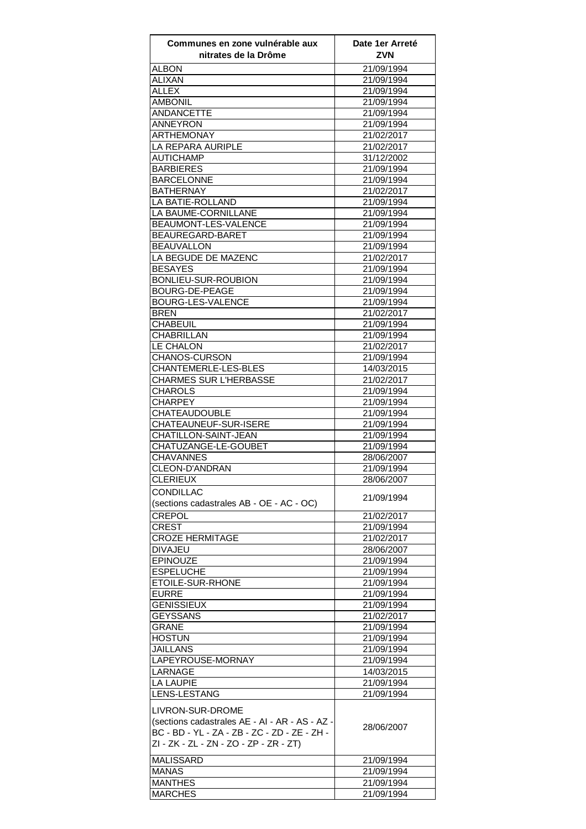| Communes en zone vulnérable aux<br>nitrates de la Drôme | Date 1er Arreté<br><b>ZVN</b> |
|---------------------------------------------------------|-------------------------------|
| <b>ALBON</b>                                            | 21/09/1994                    |
| <b>ALIXAN</b>                                           | 21/09/1994                    |
| <b>ALLEX</b>                                            | 21/09/1994                    |
| <b>AMBONIL</b>                                          | 21/09/1994                    |
| <b>ANDANCETTE</b>                                       | 21/09/1994                    |
| <b>ANNEYRON</b>                                         | 21/09/1994                    |
| <b>ARTHEMONAY</b>                                       | 21/02/2017                    |
| <b>LA REPARA AURIPLE</b>                                | 21/02/2017                    |
| <b>AUTICHAMP</b>                                        | 31/12/2002                    |
| <b>BARBIERES</b>                                        | 21/09/1994<br>21/09/1994      |
| <b>BARCELONNE</b><br><b>BATHERNAY</b>                   | 21/02/2017                    |
| <b>LA BATIE-ROLLAND</b>                                 | 21/09/1994                    |
| LA BAUME-CORNILLANE                                     | 21/09/1994                    |
| BEAUMONT-LES-VALENCE                                    | 21/09/1994                    |
| <b>BEAUREGARD-BARET</b>                                 | 21/09/1994                    |
| <b>BEAUVALLON</b>                                       | 21/09/1994                    |
| LA BEGUDE DE MAZENC                                     | 21/02/2017                    |
| <b>BESAYES</b>                                          | 21/09/1994                    |
| BONLIEU-SUR-ROUBION                                     | 21/09/1994                    |
| <b>BOURG-DE-PEAGE</b>                                   | 21/09/1994                    |
| BOURG-LES-VALENCE                                       | 21/09/1994                    |
| <b>BREN</b>                                             | 21/02/2017                    |
| <b>CHABEUIL</b>                                         | 21/09/1994                    |
| CHABRILLAN                                              | 21/09/1994                    |
| LE CHALON                                               | 21/02/2017                    |
| CHANOS-CURSON<br>CHANTEMERLE-LES-BLES                   | 21/09/1994                    |
| <b>CHARMES SUR L'HERBASSE</b>                           | 14/03/2015<br>21/02/2017      |
| CHAROLS                                                 | 21/09/1994                    |
| <b>CHARPEY</b>                                          | 21/09/1994                    |
| <b>CHATEAUDOUBLE</b>                                    | 21/09/1994                    |
| <b>CHATEAUNEUF-SUR-ISERE</b>                            | 21/09/1994                    |
| <b>CHATILLON-SAINT-JEAN</b>                             | 21/09/1994                    |
| CHATUZANGE-LE-GOUBET                                    | 21/09/1994                    |
| <b>CHAVANNES</b>                                        | 28/06/2007                    |
| <b>CLEON-D'ANDRAN</b>                                   | 21/09/1994                    |
| CLERIEUX                                                | 28/06/2007                    |
| <b>CONDILLAC</b>                                        | 21/09/1994                    |
| (sections cadastrales AB - OE - AC - OC)                |                               |
| <b>CREPOL</b>                                           | 21/02/2017                    |
| <b>CREST</b>                                            | 21/09/1994                    |
| <b>CROZE HERMITAGE</b>                                  | 21/02/2017                    |
| <b>DIVAJEU</b>                                          | 28/06/2007                    |
| <b>EPINOUZE</b>                                         | 21/09/1994                    |
| <b>ESPELUCHE</b><br>ETOILE-SUR-RHONE                    | 21/09/1994<br>21/09/1994      |
| <b>EURRE</b>                                            | 21/09/1994                    |
| <b>GENISSIEUX</b>                                       | 21/09/1994                    |
| <b>GEYSSANS</b>                                         | 21/02/2017                    |
| <b>GRANE</b>                                            | 21/09/1994                    |
| <b>HOSTUN</b>                                           | 21/09/1994                    |
| <b>JAILLANS</b>                                         | 21/09/1994                    |
| LAPEYROUSE-MORNAY                                       | 21/09/1994                    |
| LARNAGE                                                 | 14/03/2015                    |
| <b>LA LAUPIE</b>                                        | 21/09/1994                    |
| LENS-LESTANG                                            | 21/09/1994                    |
| <b>LIVRON-SUR-DROME</b>                                 |                               |
| (sections cadastrales AE - AI - AR - AS - AZ -          |                               |
| BC - BD - YL - ZA - ZB - ZC - ZD - ZE - ZH -            | 28/06/2007                    |
| ZI - ZK - ZL - ZN - ZO - ZP - ZR - ZT)                  |                               |
| MALISSARD                                               | 21/09/1994                    |
| <b>MANAS</b>                                            | 21/09/1994                    |
| <b>MANTHES</b>                                          | 21/09/1994                    |
| <b>MARCHES</b>                                          | 21/09/1994                    |